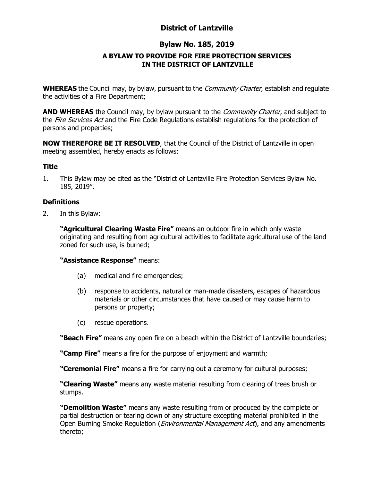# **District of Lantzville**

# **Bylaw No. 185, 2019**

## **A BYLAW TO PROVIDE FOR FIRE PROTECTION SERVICES IN THE DISTRICT OF LANTZVILLE**

**WHEREAS** the Council may, by bylaw, pursuant to the *Community Charter*, establish and regulate the activities of a Fire Department;

**AND WHEREAS** the Council may, by bylaw pursuant to the *Community Charter*, and subject to the Fire Services Act and the Fire Code Regulations establish regulations for the protection of persons and properties;

**NOW THEREFORE BE IT RESOLVED**, that the Council of the District of Lantzville in open meeting assembled, hereby enacts as follows:

#### **Title**

1. This Bylaw may be cited as the "District of Lantzville Fire Protection Services Bylaw No. 185, 2019".

### **Definitions**

2. In this Bylaw:

**"Agricultural Clearing Waste Fire"** means an outdoor fire in which only waste originating and resulting from agricultural activities to facilitate agricultural use of the land zoned for such use, is burned;

#### **"Assistance Response"** means:

- (a) medical and fire emergencies;
- (b) response to accidents, natural or man-made disasters, escapes of hazardous materials or other circumstances that have caused or may cause harm to persons or property;
- (c) rescue operations.

**"Beach Fire"** means any open fire on a beach within the District of Lantzville boundaries;

**"Camp Fire"** means a fire for the purpose of enjoyment and warmth;

**"Ceremonial Fire"** means a fire for carrying out a ceremony for cultural purposes;

**"Clearing Waste"** means any waste material resulting from clearing of trees brush or stumps.

**"Demolition Waste"** means any waste resulting from or produced by the complete or partial destruction or tearing down of any structure excepting material prohibited in the Open Burning Smoke Regulation (*Environmental Management Act*), and any amendments thereto;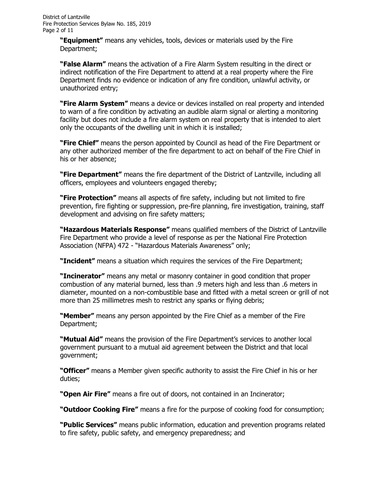**"Equipment"** means any vehicles, tools, devices or materials used by the Fire Department;

**"False Alarm"** means the activation of a Fire Alarm System resulting in the direct or indirect notification of the Fire Department to attend at a real property where the Fire Department finds no evidence or indication of any fire condition, unlawful activity, or unauthorized entry;

**"Fire Alarm System"** means a device or devices installed on real property and intended to warn of a fire condition by activating an audible alarm signal or alerting a monitoring facility but does not include a fire alarm system on real property that is intended to alert only the occupants of the dwelling unit in which it is installed;

**"Fire Chief"** means the person appointed by Council as head of the Fire Department or any other authorized member of the fire department to act on behalf of the Fire Chief in his or her absence;

**"Fire Department"** means the fire department of the District of Lantzville, including all officers, employees and volunteers engaged thereby;

**"Fire Protection"** means all aspects of fire safety, including but not limited to fire prevention, fire fighting or suppression, pre-fire planning, fire investigation, training, staff development and advising on fire safety matters;

**"Hazardous Materials Response"** means qualified members of the District of Lantzville Fire Department who provide a level of response as per the National Fire Protection Association (NFPA) 472 - "Hazardous Materials Awareness" only;

**"Incident"** means a situation which requires the services of the Fire Department;

**"Incinerator"** means any metal or masonry container in good condition that proper combustion of any material burned, less than .9 meters high and less than .6 meters in diameter, mounted on a non-combustible base and fitted with a metal screen or grill of not more than 25 millimetres mesh to restrict any sparks or flying debris;

**"Member"** means any person appointed by the Fire Chief as a member of the Fire Department;

**"Mutual Aid"** means the provision of the Fire Department's services to another local government pursuant to a mutual aid agreement between the District and that local government;

**"Officer"** means a Member given specific authority to assist the Fire Chief in his or her duties;

**"Open Air Fire"** means a fire out of doors, not contained in an Incinerator;

**"Outdoor Cooking Fire"** means a fire for the purpose of cooking food for consumption;

**"Public Services"** means public information, education and prevention programs related to fire safety, public safety, and emergency preparedness; and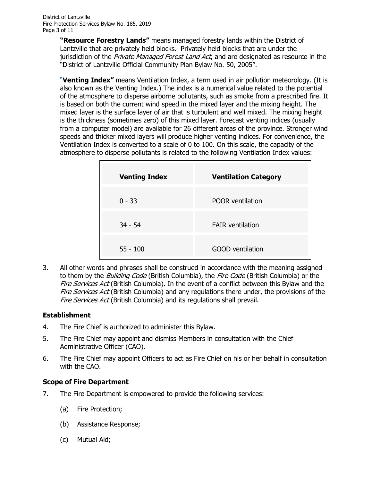**"Resource Forestry Lands"** means managed forestry lands within the District of Lantzville that are privately held blocks. Privately held blocks that are under the jurisdiction of the Private Managed Forest Land Act, and are designated as resource in the "District of Lantzville Official Community Plan Bylaw No. 50, 2005".

"**Venting Index"** means Ventilation Index, a term used in air pollution meteorology. (It is also known as the Venting Index.) The index is a numerical value related to the potential of the atmosphere to [disperse](http://www.env.gov.bc.ca/epd/bcairquality/glossary/index.html#disperse) airborne pollutants, such as smoke from a prescribed fire. It is based on both the current wind speed in the mixed layer and the [mixing height.](http://www.env.gov.bc.ca/epd/bcairquality/glossary/index.html#mixing) The mixed layer is the surface layer of air that is turbulent and well mixed. The mixing height is the thickness (sometimes zero) of this mixed layer. Forecast venting indices (usually from a computer model) are available for 26 different areas of the province. Stronger wind speeds and thicker mixed layers will produce higher venting indices. For convenience, the Ventilation Index is converted to a scale of 0 to 100. On this scale, the capacity of the atmosphere to disperse pollutants is related to the following Ventilation Index values:

| <b>Venting Index</b> | <b>Ventilation Category</b> |
|----------------------|-----------------------------|
| $0 - 33$             | <b>POOR</b> ventilation     |
| $34 - 54$            | <b>FAIR ventilation</b>     |
| $55 - 100$           | <b>GOOD</b> ventilation     |

3. All other words and phrases shall be construed in accordance with the meaning assigned to them by the *Building Code* (British Columbia), the Fire Code (British Columbia) or the Fire Services Act (British Columbia). In the event of a conflict between this Bylaw and the Fire Services Act (British Columbia) and any regulations there under, the provisions of the Fire Services Act (British Columbia) and its regulations shall prevail.

## **Establishment**

- 4. The Fire Chief is authorized to administer this Bylaw.
- 5. The Fire Chief may appoint and dismiss Members in consultation with the Chief Administrative Officer (CAO).
- 6. The Fire Chief may appoint Officers to act as Fire Chief on his or her behalf in consultation with the CAO.

## **Scope of Fire Department**

- 7. The Fire Department is empowered to provide the following services:
	- (a) Fire Protection;
	- (b) Assistance Response;
	- (c) Mutual Aid;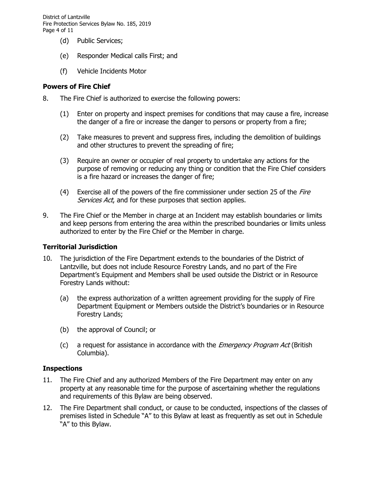District of Lantzville Fire Protection Services Bylaw No. 185, 2019 Page 4 of 11

- (d) Public Services;
- (e) Responder Medical calls First; and
- (f) Vehicle Incidents Motor

#### **Powers of Fire Chief**

- 8. The Fire Chief is authorized to exercise the following powers:
	- (1) Enter on property and inspect premises for conditions that may cause a fire, increase the danger of a fire or increase the danger to persons or property from a fire;
	- (2) Take measures to prevent and suppress fires, including the demolition of buildings and other structures to prevent the spreading of fire;
	- (3) Require an owner or occupier of real property to undertake any actions for the purpose of removing or reducing any thing or condition that the Fire Chief considers is a fire hazard or increases the danger of fire;
	- (4) Exercise all of the powers of the fire commissioner under section 25 of the  $F\text{irre}$ Services Act, and for these purposes that section applies.
- 9. The Fire Chief or the Member in charge at an Incident may establish boundaries or limits and keep persons from entering the area within the prescribed boundaries or limits unless authorized to enter by the Fire Chief or the Member in charge.

#### **Territorial Jurisdiction**

- 10. The jurisdiction of the Fire Department extends to the boundaries of the District of Lantzville, but does not include Resource Forestry Lands, and no part of the Fire Department's Equipment and Members shall be used outside the District or in Resource Forestry Lands without:
	- (a) the express authorization of a written agreement providing for the supply of Fire Department Equipment or Members outside the District's boundaries or in Resource Forestry Lands;
	- (b) the approval of Council; or
	- (c) a request for assistance in accordance with the *Emergency Program Act* (British Columbia).

#### **Inspections**

- 11. The Fire Chief and any authorized Members of the Fire Department may enter on any property at any reasonable time for the purpose of ascertaining whether the regulations and requirements of this Bylaw are being observed.
- 12. The Fire Department shall conduct, or cause to be conducted, inspections of the classes of premises listed in Schedule "A" to this Bylaw at least as frequently as set out in Schedule "A" to this Bylaw.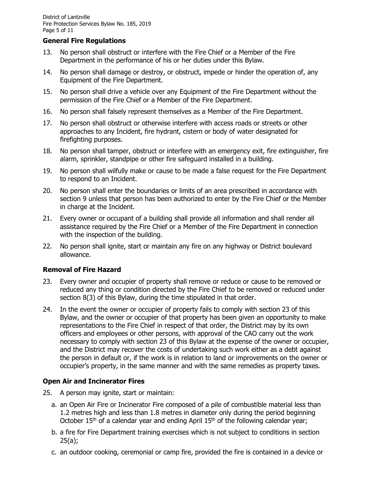### **General Fire Regulations**

- 13. No person shall obstruct or interfere with the Fire Chief or a Member of the Fire Department in the performance of his or her duties under this Bylaw.
- 14. No person shall damage or destroy, or obstruct, impede or hinder the operation of, any Equipment of the Fire Department.
- 15. No person shall drive a vehicle over any Equipment of the Fire Department without the permission of the Fire Chief or a Member of the Fire Department.
- 16. No person shall falsely represent themselves as a Member of the Fire Department.
- 17. No person shall obstruct or otherwise interfere with access roads or streets or other approaches to any Incident, fire hydrant, cistern or body of water designated for firefighting purposes.
- 18. No person shall tamper, obstruct or interfere with an emergency exit, fire extinguisher, fire alarm, sprinkler, standpipe or other fire safeguard installed in a building.
- 19. No person shall wilfully make or cause to be made a false request for the Fire Department to respond to an Incident.
- 20. No person shall enter the boundaries or limits of an area prescribed in accordance with section 9 unless that person has been authorized to enter by the Fire Chief or the Member in charge at the Incident.
- 21. Every owner or occupant of a building shall provide all information and shall render all assistance required by the Fire Chief or a Member of the Fire Department in connection with the inspection of the building.
- 22. No person shall ignite, start or maintain any fire on any highway or District boulevard allowance.

## **Removal of Fire Hazard**

- 23. Every owner and occupier of property shall remove or reduce or cause to be removed or reduced any thing or condition directed by the Fire Chief to be removed or reduced under section 8(3) of this Bylaw, during the time stipulated in that order.
- 24. In the event the owner or occupier of property fails to comply with section 23 of this Bylaw, and the owner or occupier of that property has been given an opportunity to make representations to the Fire Chief in respect of that order, the District may by its own officers and employees or other persons, with approval of the CAO carry out the work necessary to comply with section 23 of this Bylaw at the expense of the owner or occupier, and the District may recover the costs of undertaking such work either as a debt against the person in default or, if the work is in relation to land or improvements on the owner or occupier's property, in the same manner and with the same remedies as property taxes.

## **Open Air and Incinerator Fires**

- 25. A person may ignite, start or maintain:
	- a. an Open Air Fire or Incinerator Fire composed of a pile of combustible material less than 1.2 metres high and less than 1.8 metres in diameter only during the period beginning October 15<sup>th</sup> of a calendar year and ending April 15<sup>th</sup> of the following calendar year;
	- b. a fire for Fire Department training exercises which is not subject to conditions in section  $25(a)$ ;
	- c. an outdoor cooking, ceremonial or camp fire, provided the fire is contained in a device or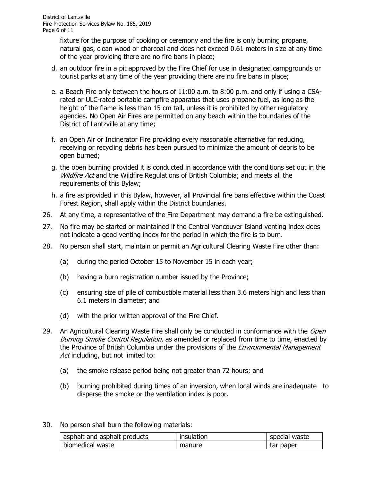fixture for the purpose of cooking or ceremony and the fire is only burning propane, natural gas, clean wood or charcoal and does not exceed 0.61 meters in size at any time of the year providing there are no fire bans in place;

- d. an outdoor fire in a pit approved by the Fire Chief for use in designated campgrounds or tourist parks at any time of the year providing there are no fire bans in place;
- e. a Beach Fire only between the hours of 11:00 a.m. to 8:00 p.m. and only if using a CSArated or ULC-rated portable campfire apparatus that uses propane fuel, as long as the height of the flame is less than 15 cm tall, unless it is prohibited by other regulatory agencies. No Open Air Fires are permitted on any beach within the boundaries of the District of Lantzville at any time;
- f. an Open Air or Incinerator Fire providing every reasonable alternative for reducing, receiving or recycling debris has been pursued to minimize the amount of debris to be open burned;
- g. the open burning provided it is conducted in accordance with the conditions set out in the Wildfire Act and the Wildfire Regulations of British Columbia; and meets all the requirements of this Bylaw;
- h. a fire as provided in this Bylaw, however, all Provincial fire bans effective within the Coast Forest Region, shall apply within the District boundaries.
- 26. At any time, a representative of the Fire Department may demand a fire be extinguished.
- 27. No fire may be started or maintained if the Central Vancouver Island venting index does not indicate a good venting index for the period in which the fire is to burn.
- 28. No person shall start, maintain or permit an Agricultural Clearing Waste Fire other than:
	- (a) during the period October 15 to November 15 in each year;
	- (b) having a burn registration number issued by the Province;
	- (c) ensuring size of pile of combustible material less than 3.6 meters high and less than 6.1 meters in diameter; and
	- (d) with the prior written approval of the Fire Chief.
- 29. An Agricultural Clearing Waste Fire shall only be conducted in conformance with the Open Burning Smoke Control Regulation, as amended or replaced from time to time, enacted by the Province of British Columbia under the provisions of the *Environmental Management* Act including, but not limited to:
	- (a) the smoke release period being not greater than 72 hours; and
	- (b) burning prohibited during times of an inversion, when local winds are inadequate to disperse the smoke or the ventilation index is poor.
- 30. No person shall burn the following materials:

| asphalt and asphalt products | insulation | special waste |
|------------------------------|------------|---------------|
| biomedical waste             | manure     | tar paper     |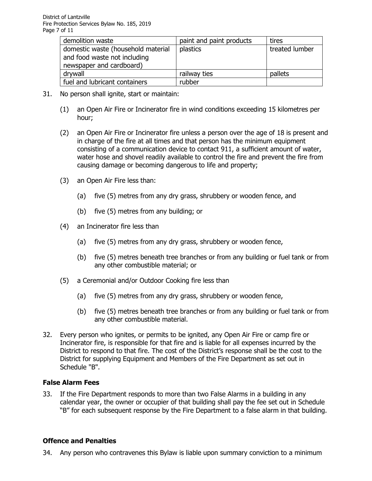| demolition waste                   | paint and paint products | tires          |
|------------------------------------|--------------------------|----------------|
| domestic waste (household material | plastics                 | treated lumber |
| and food waste not including       |                          |                |
| newspaper and cardboard)           |                          |                |
| drywall                            | railway ties             | pallets        |
| fuel and lubricant containers      | rubber                   |                |

- 31. No person shall ignite, start or maintain:
	- (1) an Open Air Fire or Incinerator fire in wind conditions exceeding 15 kilometres per hour;
	- (2) an Open Air Fire or Incinerator fire unless a person over the age of 18 is present and in charge of the fire at all times and that person has the minimum equipment consisting of a communication device to contact 911, a sufficient amount of water, water hose and shovel readily available to control the fire and prevent the fire from causing damage or becoming dangerous to life and property;
	- (3) an Open Air Fire less than:
		- (a) five (5) metres from any dry grass, shrubbery or wooden fence, and
		- (b) five (5) metres from any building; or
	- (4) an Incinerator fire less than
		- (a) five (5) metres from any dry grass, shrubbery or wooden fence,
		- (b) five (5) metres beneath tree branches or from any building or fuel tank or from any other combustible material; or
	- (5) a Ceremonial and/or Outdoor Cooking fire less than
		- (a) five (5) metres from any dry grass, shrubbery or wooden fence,
		- (b) five (5) metres beneath tree branches or from any building or fuel tank or from any other combustible material.
- 32. Every person who ignites, or permits to be ignited, any Open Air Fire or camp fire or Incinerator fire, is responsible for that fire and is liable for all expenses incurred by the District to respond to that fire. The cost of the District's response shall be the cost to the District for supplying Equipment and Members of the Fire Department as set out in Schedule "B".

#### **False Alarm Fees**

33. If the Fire Department responds to more than two False Alarms in a building in any calendar year, the owner or occupier of that building shall pay the fee set out in Schedule "B" for each subsequent response by the Fire Department to a false alarm in that building.

## **Offence and Penalties**

34. Any person who contravenes this Bylaw is liable upon summary conviction to a minimum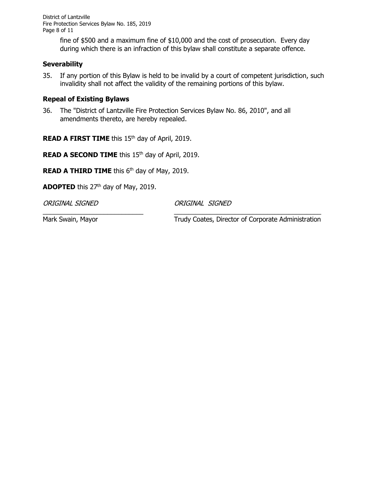District of Lantzville Fire Protection Services Bylaw No. 185, 2019 Page 8 of 11

> fine of \$500 and a maximum fine of \$10,000 and the cost of prosecution. Every day during which there is an infraction of this bylaw shall constitute a separate offence.

#### **Severability**

35. If any portion of this Bylaw is held to be invalid by a court of competent jurisdiction, such invalidity shall not affect the validity of the remaining portions of this bylaw.

#### **Repeal of Existing Bylaws**

36. The "District of Lantzville Fire Protection Services Bylaw No. 86, 2010", and all amendments thereto, are hereby repealed.

**READ A FIRST TIME** this 15<sup>th</sup> day of April, 2019.

**READ A SECOND TIME** this 15<sup>th</sup> day of April, 2019.

**READ A THIRD TIME** this 6<sup>th</sup> day of May, 2019.

**ADOPTED** this 27<sup>th</sup> day of May, 2019.

ORIGINAL SIGNED ORIGINAL SIGNED

\_\_\_\_\_\_\_\_\_\_\_\_\_\_\_\_\_\_\_\_\_\_\_\_\_\_\_\_ \_\_\_\_\_\_\_\_\_\_\_\_\_\_\_\_\_\_\_\_\_\_\_\_\_\_\_\_\_\_\_\_\_\_\_\_\_\_\_\_\_

Mark Swain, Mayor Trudy Coates, Director of Corporate Administration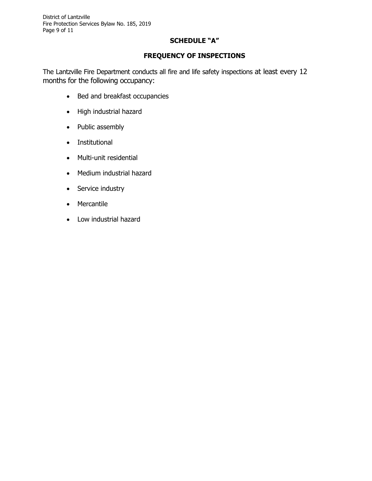## **SCHEDULE "A"**

## **FREQUENCY OF INSPECTIONS**

The Lantzville Fire Department conducts all fire and life safety inspections at least every 12 months for the following occupancy:

- Bed and breakfast occupancies
- High industrial hazard
- Public assembly
- Institutional
- Multi-unit residential
- Medium industrial hazard
- Service industry
- Mercantile
- Low industrial hazard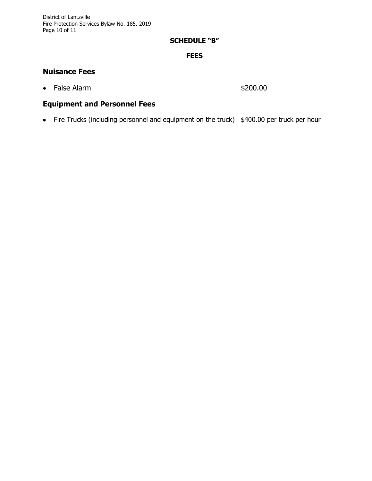## **SCHEDULE "B"**

### **FEES**

# **Nuisance Fees**

• False Alarm \$200.00

# **Equipment and Personnel Fees**

• Fire Trucks (including personnel and equipment on the truck) \$400.00 per truck per hour